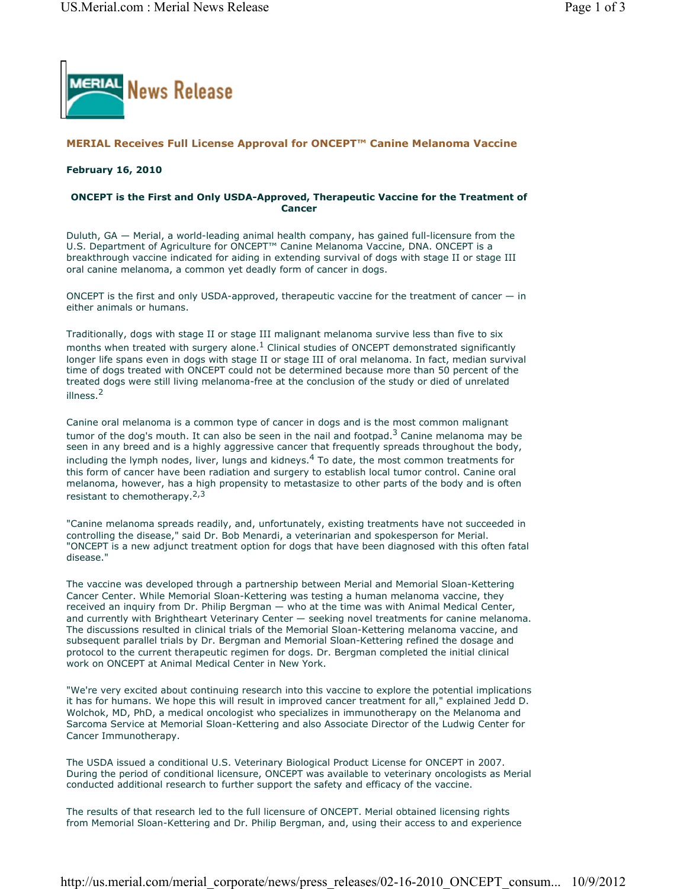

# **MERIAL Receives Full License Approval for ONCEPT™ Canine Melanoma Vaccine**

#### **February 16, 2010**

## **ONCEPT is the First and Only USDA-Approved, Therapeutic Vaccine for the Treatment of Cancer**

Duluth, GA — Merial, a world-leading animal health company, has gained full-licensure from the U.S. Department of Agriculture for ONCEPT™ Canine Melanoma Vaccine, DNA. ONCEPT is a breakthrough vaccine indicated for aiding in extending survival of dogs with stage II or stage III oral canine melanoma, a common yet deadly form of cancer in dogs.

ONCEPT is the first and only USDA-approved, therapeutic vaccine for the treatment of cancer  $-$  in either animals or humans.

Traditionally, dogs with stage II or stage III malignant melanoma survive less than five to six months when treated with surgery alone.<sup>1</sup> Clinical studies of ONCEPT demonstrated significantly longer life spans even in dogs with stage II or stage III of oral melanoma. In fact, median survival time of dogs treated with ONCEPT could not be determined because more than 50 percent of the treated dogs were still living melanoma-free at the conclusion of the study or died of unrelated illness.<sup>2</sup>

Canine oral melanoma is a common type of cancer in dogs and is the most common malignant tumor of the dog's mouth. It can also be seen in the nail and footpad.<sup>3</sup> Canine melanoma may be seen in any breed and is a highly aggressive cancer that frequently spreads throughout the body, including the lymph nodes, liver, lungs and kidneys. $4$  To date, the most common treatments for this form of cancer have been radiation and surgery to establish local tumor control. Canine oral melanoma, however, has a high propensity to metastasize to other parts of the body and is often resistant to chemotherapy.<sup>2,3</sup>

"Canine melanoma spreads readily, and, unfortunately, existing treatments have not succeeded in controlling the disease," said Dr. Bob Menardi, a veterinarian and spokesperson for Merial. "ONCEPT is a new adjunct treatment option for dogs that have been diagnosed with this often fatal disease."

The vaccine was developed through a partnership between Merial and Memorial Sloan-Kettering Cancer Center. While Memorial Sloan-Kettering was testing a human melanoma vaccine, they received an inquiry from Dr. Philip Bergman — who at the time was with Animal Medical Center, and currently with Brightheart Veterinary Center — seeking novel treatments for canine melanoma. The discussions resulted in clinical trials of the Memorial Sloan-Kettering melanoma vaccine, and subsequent parallel trials by Dr. Bergman and Memorial Sloan-Kettering refined the dosage and protocol to the current therapeutic regimen for dogs. Dr. Bergman completed the initial clinical work on ONCEPT at Animal Medical Center in New York.

"We're very excited about continuing research into this vaccine to explore the potential implications it has for humans. We hope this will result in improved cancer treatment for all," explained Jedd D. Wolchok, MD, PhD, a medical oncologist who specializes in immunotherapy on the Melanoma and Sarcoma Service at Memorial Sloan-Kettering and also Associate Director of the Ludwig Center for Cancer Immunotherapy.

The USDA issued a conditional U.S. Veterinary Biological Product License for ONCEPT in 2007. During the period of conditional licensure, ONCEPT was available to veterinary oncologists as Merial conducted additional research to further support the safety and efficacy of the vaccine.

The results of that research led to the full licensure of ONCEPT. Merial obtained licensing rights from Memorial Sloan-Kettering and Dr. Philip Bergman, and, using their access to and experience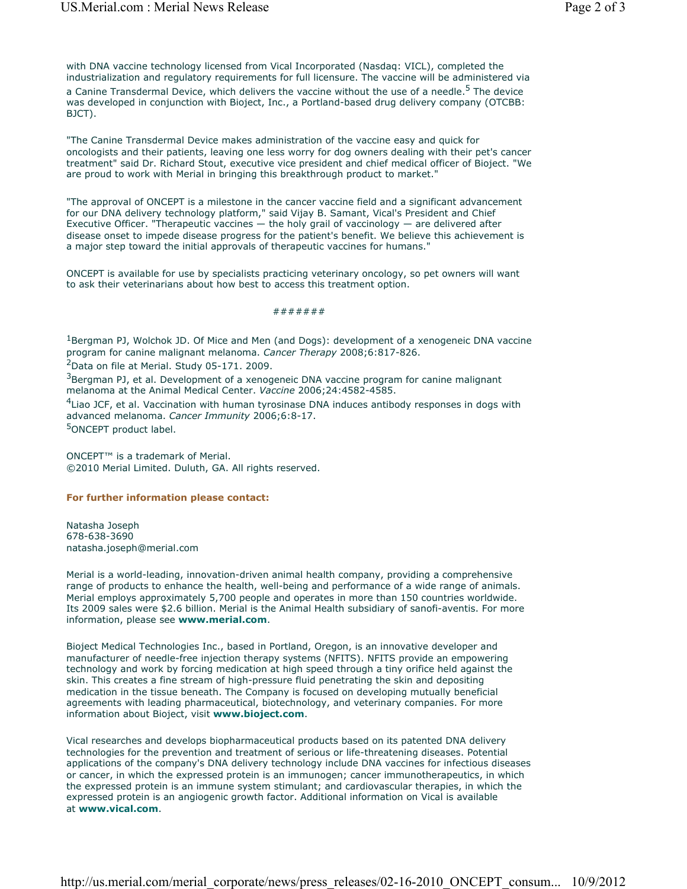with DNA vaccine technology licensed from Vical Incorporated (Nasdaq: VICL), completed the industrialization and regulatory requirements for full licensure. The vaccine will be administered via a Canine Transdermal Device, which delivers the vaccine without the use of a needle.<sup>5</sup> The device was developed in conjunction with Bioject, Inc., a Portland-based drug delivery company (OTCBB: BJCT).

"The Canine Transdermal Device makes administration of the vaccine easy and quick for oncologists and their patients, leaving one less worry for dog owners dealing with their pet's cancer treatment" said Dr. Richard Stout, executive vice president and chief medical officer of Bioject. "We are proud to work with Merial in bringing this breakthrough product to market."

"The approval of ONCEPT is a milestone in the cancer vaccine field and a significant advancement for our DNA delivery technology platform," said Vijay B. Samant, Vical's President and Chief Executive Officer. "Therapeutic vaccines  $-$  the holy grail of vaccinology  $-$  are delivered after disease onset to impede disease progress for the patient's benefit. We believe this achievement is a major step toward the initial approvals of therapeutic vaccines for humans."

ONCEPT is available for use by specialists practicing veterinary oncology, so pet owners will want to ask their veterinarians about how best to access this treatment option.

## #######

 $1B$ ergman PJ, Wolchok JD. Of Mice and Men (and Dogs): development of a xenogeneic DNA vaccine program for canine malignant melanoma. *Cancer Therapy* 2008;6:817-826.

 $2$ Data on file at Merial. Study 05-171. 2009.

<sup>3</sup>Bergman PJ, et al. Development of a xenogeneic DNA vaccine program for canine malignant melanoma at the Animal Medical Center. *Vaccine* 2006;24:4582-4585.

 $4$ Liao JCF, et al. Vaccination with human tyrosinase DNA induces antibody responses in dogs with advanced melanoma. *Cancer Immunity* 2006;6:8-17. 5ONCEPT product label.

ONCEPT™ is a trademark of Merial. ©2010 Merial Limited. Duluth, GA. All rights reserved.

#### **For further information please contact:**

Natasha Joseph 678-638-3690 natasha.joseph@merial.com

Merial is a world-leading, innovation-driven animal health company, providing a comprehensive range of products to enhance the health, well-being and performance of a wide range of animals. Merial employs approximately 5,700 people and operates in more than 150 countries worldwide. Its 2009 sales were \$2.6 billion. Merial is the Animal Health subsidiary of sanofi-aventis. For more information, please see **www.merial.com**.

Bioject Medical Technologies Inc., based in Portland, Oregon, is an innovative developer and manufacturer of needle-free injection therapy systems (NFITS). NFITS provide an empowering technology and work by forcing medication at high speed through a tiny orifice held against the skin. This creates a fine stream of high-pressure fluid penetrating the skin and depositing medication in the tissue beneath. The Company is focused on developing mutually beneficial agreements with leading pharmaceutical, biotechnology, and veterinary companies. For more information about Bioject, visit **www.bioject.com**.

Vical researches and develops biopharmaceutical products based on its patented DNA delivery technologies for the prevention and treatment of serious or life-threatening diseases. Potential applications of the company's DNA delivery technology include DNA vaccines for infectious diseases or cancer, in which the expressed protein is an immunogen; cancer immunotherapeutics, in which the expressed protein is an immune system stimulant; and cardiovascular therapies, in which the expressed protein is an angiogenic growth factor. Additional information on Vical is available at **www.vical.com**.